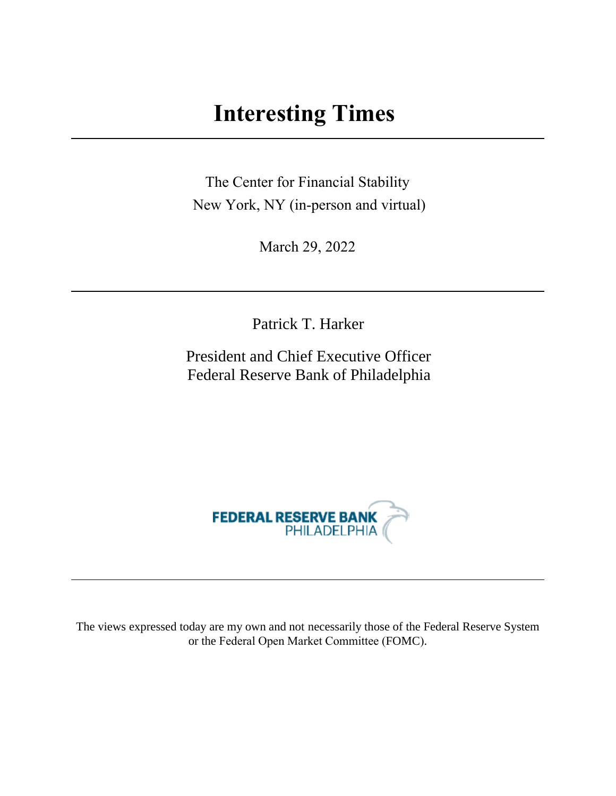# **Interesting Times**

The Center for Financial Stability New York, NY (in-person and virtual)

March 29, 2022

Patrick T. Harker

President and Chief Executive Officer Federal Reserve Bank of Philadelphia



The views expressed today are my own and not necessarily those of the Federal Reserve System or the Federal Open Market Committee (FOMC).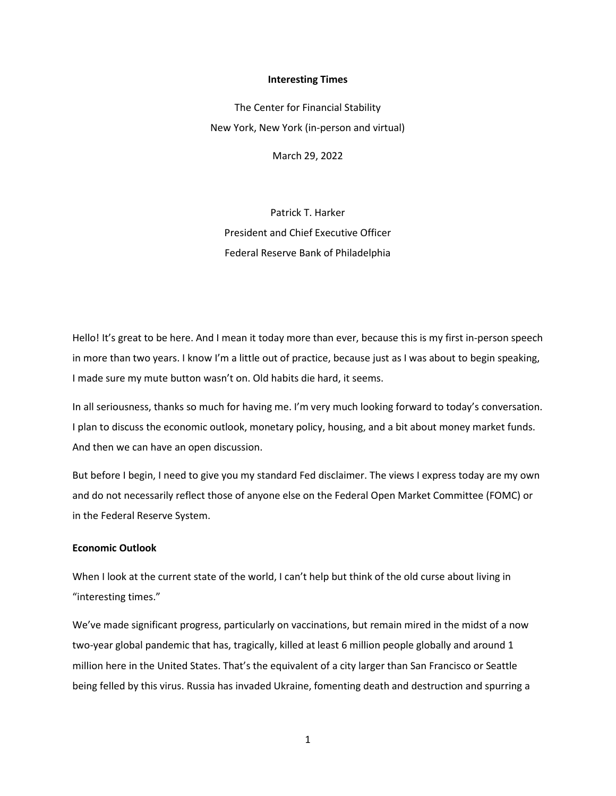### **Interesting Times**

The Center for Financial Stability New York, New York (in-person and virtual)

March 29, 2022

Patrick T. Harker President and Chief Executive Officer Federal Reserve Bank of Philadelphia

Hello! It's great to be here. And I mean it today more than ever, because this is my first in-person speech in more than two years. I know I'm a little out of practice, because just as I was about to begin speaking, I made sure my mute button wasn't on. Old habits die hard, it seems.

In all seriousness, thanks so much for having me. I'm very much looking forward to today's conversation. I plan to discuss the economic outlook, monetary policy, housing, and a bit about money market funds. And then we can have an open discussion.

But before I begin, I need to give you my standard Fed disclaimer. The views I express today are my own and do not necessarily reflect those of anyone else on the Federal Open Market Committee (FOMC) or in the Federal Reserve System.

## **Economic Outlook**

When I look at the current state of the world, I can't help but think of the old curse about living in "interesting times."

We've made significant progress, particularly on vaccinations, but remain mired in the midst of a now two-year global pandemic that has, tragically, killed at least 6 million people globally and around 1 million here in the United States. That's the equivalent of a city larger than San Francisco or Seattle being felled by this virus. Russia has invaded Ukraine, fomenting death and destruction and spurring a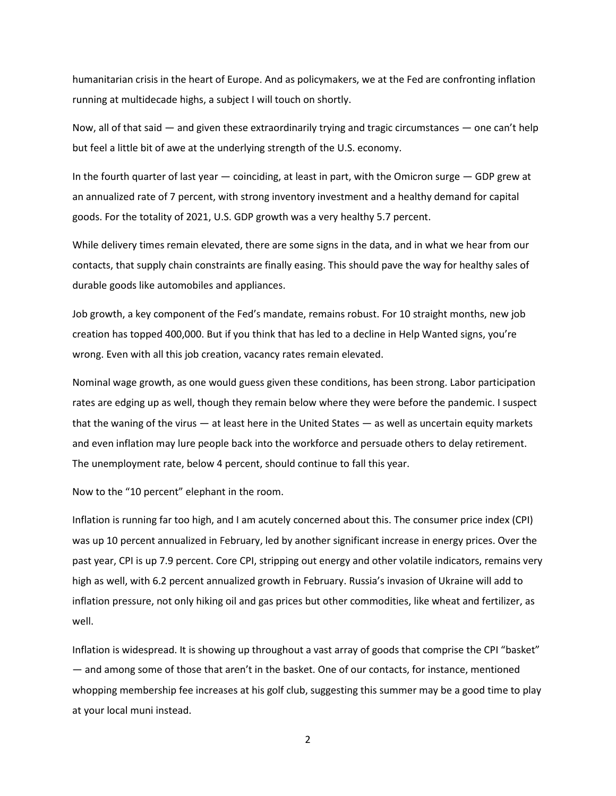humanitarian crisis in the heart of Europe. And as policymakers, we at the Fed are confronting inflation running at multidecade highs, a subject I will touch on shortly.

Now, all of that said — and given these extraordinarily trying and tragic circumstances — one can't help but feel a little bit of awe at the underlying strength of the U.S. economy.

In the fourth quarter of last year — coinciding, at least in part, with the Omicron surge — GDP grew at an annualized rate of 7 percent, with strong inventory investment and a healthy demand for capital goods. For the totality of 2021, U.S. GDP growth was a very healthy 5.7 percent.

While delivery times remain elevated, there are some signs in the data, and in what we hear from our contacts, that supply chain constraints are finally easing. This should pave the way for healthy sales of durable goods like automobiles and appliances.

Job growth, a key component of the Fed's mandate, remains robust. For 10 straight months, new job creation has topped 400,000. But if you think that has led to a decline in Help Wanted signs, you're wrong. Even with all this job creation, vacancy rates remain elevated.

Nominal wage growth, as one would guess given these conditions, has been strong. Labor participation rates are edging up as well, though they remain below where they were before the pandemic. I suspect that the waning of the virus — at least here in the United States — as well as uncertain equity markets and even inflation may lure people back into the workforce and persuade others to delay retirement. The unemployment rate, below 4 percent, should continue to fall this year.

Now to the "10 percent" elephant in the room.

Inflation is running far too high, and I am acutely concerned about this. The consumer price index (CPI) was up 10 percent annualized in February, led by another significant increase in energy prices. Over the past year, CPI is up 7.9 percent. Core CPI, stripping out energy and other volatile indicators, remains very high as well, with 6.2 percent annualized growth in February. Russia's invasion of Ukraine will add to inflation pressure, not only hiking oil and gas prices but other commodities, like wheat and fertilizer, as well.

Inflation is widespread. It is showing up throughout a vast array of goods that comprise the CPI "basket" — and among some of those that aren't in the basket. One of our contacts, for instance, mentioned whopping membership fee increases at his golf club, suggesting this summer may be a good time to play at your local muni instead.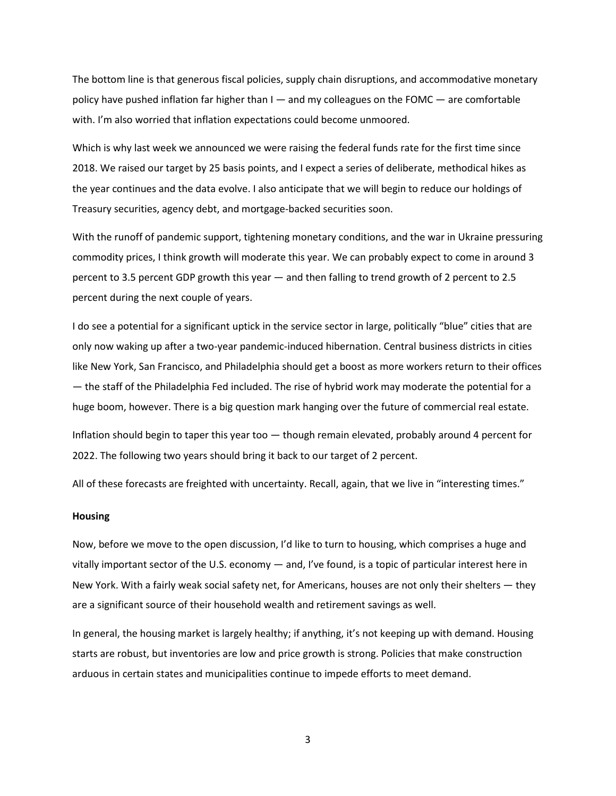The bottom line is that generous fiscal policies, supply chain disruptions, and accommodative monetary policy have pushed inflation far higher than  $I -$  and my colleagues on the FOMC  $-$  are comfortable with. I'm also worried that inflation expectations could become unmoored.

Which is why last week we announced we were raising the federal funds rate for the first time since 2018. We raised our target by 25 basis points, and I expect a series of deliberate, methodical hikes as the year continues and the data evolve. I also anticipate that we will begin to reduce our holdings of Treasury securities, agency debt, and mortgage-backed securities soon.

With the runoff of pandemic support, tightening monetary conditions, and the war in Ukraine pressuring commodity prices, I think growth will moderate this year. We can probably expect to come in around 3 percent to 3.5 percent GDP growth this year — and then falling to trend growth of 2 percent to 2.5 percent during the next couple of years.

I do see a potential for a significant uptick in the service sector in large, politically "blue" cities that are only now waking up after a two-year pandemic-induced hibernation. Central business districts in cities like New York, San Francisco, and Philadelphia should get a boost as more workers return to their offices — the staff of the Philadelphia Fed included. The rise of hybrid work may moderate the potential for a huge boom, however. There is a big question mark hanging over the future of commercial real estate.

Inflation should begin to taper this year too — though remain elevated, probably around 4 percent for 2022. The following two years should bring it back to our target of 2 percent.

All of these forecasts are freighted with uncertainty. Recall, again, that we live in "interesting times."

## **Housing**

Now, before we move to the open discussion, I'd like to turn to housing, which comprises a huge and vitally important sector of the U.S. economy — and, I've found, is a topic of particular interest here in New York. With a fairly weak social safety net, for Americans, houses are not only their shelters — they are a significant source of their household wealth and retirement savings as well.

In general, the housing market is largely healthy; if anything, it's not keeping up with demand. Housing starts are robust, but inventories are low and price growth is strong. Policies that make construction arduous in certain states and municipalities continue to impede efforts to meet demand.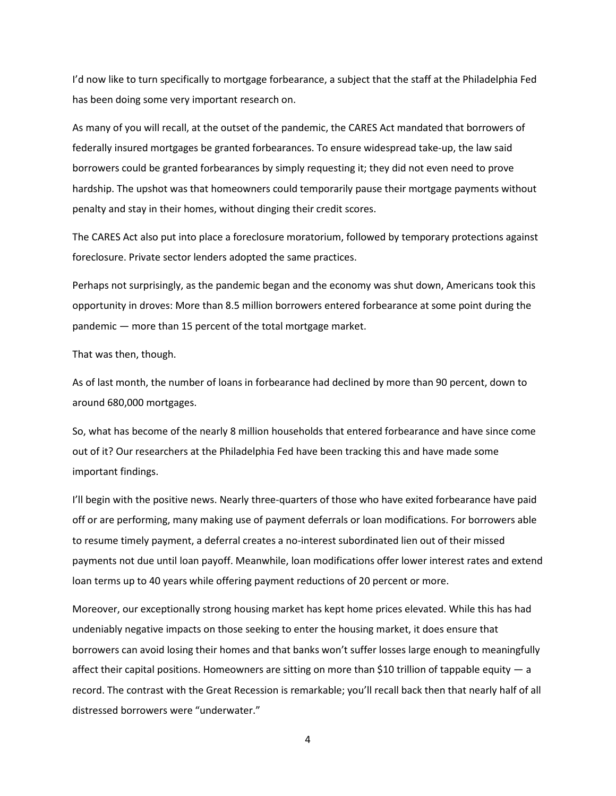I'd now like to turn specifically to mortgage forbearance, a subject that the staff at the Philadelphia Fed has been doing some very important research on.

As many of you will recall, at the outset of the pandemic, the CARES Act mandated that borrowers of federally insured mortgages be granted forbearances. To ensure widespread take-up, the law said borrowers could be granted forbearances by simply requesting it; they did not even need to prove hardship. The upshot was that homeowners could temporarily pause their mortgage payments without penalty and stay in their homes, without dinging their credit scores.

The CARES Act also put into place a foreclosure moratorium, followed by temporary protections against foreclosure. Private sector lenders adopted the same practices.

Perhaps not surprisingly, as the pandemic began and the economy was shut down, Americans took this opportunity in droves: More than 8.5 million borrowers entered forbearance at some point during the pandemic — more than 15 percent of the total mortgage market.

That was then, though.

As of last month, the number of loans in forbearance had declined by more than 90 percent, down to around 680,000 mortgages.

So, what has become of the nearly 8 million households that entered forbearance and have since come out of it? Our researchers at the Philadelphia Fed have been tracking this and have made some important findings.

I'll begin with the positive news. Nearly three-quarters of those who have exited forbearance have paid off or are performing, many making use of payment deferrals or loan modifications. For borrowers able to resume timely payment, a deferral creates a no-interest subordinated lien out of their missed payments not due until loan payoff. Meanwhile, loan modifications offer lower interest rates and extend loan terms up to 40 years while offering payment reductions of 20 percent or more.

Moreover, our exceptionally strong housing market has kept home prices elevated. While this has had undeniably negative impacts on those seeking to enter the housing market, it does ensure that borrowers can avoid losing their homes and that banks won't suffer losses large enough to meaningfully affect their capital positions. Homeowners are sitting on more than \$10 trillion of tappable equity  $-$  a record. The contrast with the Great Recession is remarkable; you'll recall back then that nearly half of all distressed borrowers were "underwater."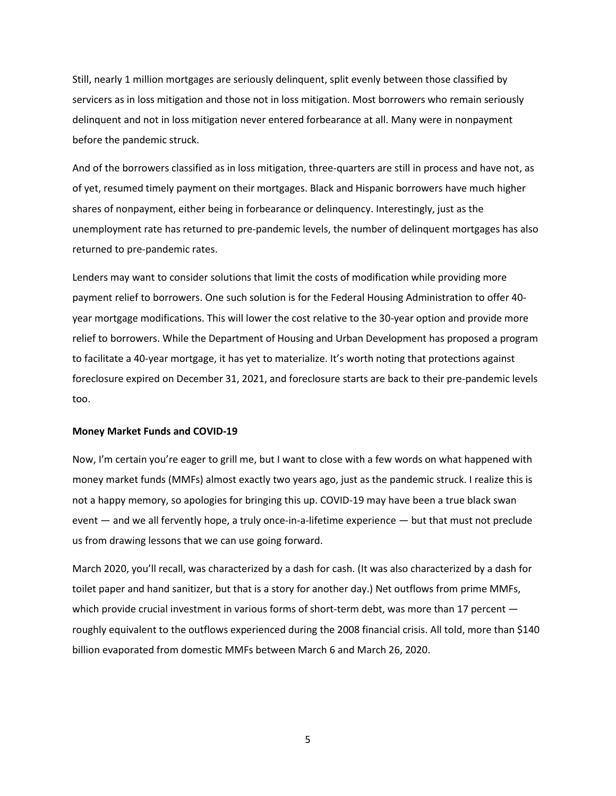Still, nearly 1 million mortgages are seriously delinquent, split evenly between those classified by servicers as in loss mitigation and those not in loss mitigation. Most borrowers who remain seriously delinquent and not in loss mitigation never entered forbearance at all. Many were in nonpayment before the pandemic struck.

And of the borrowers classified as in loss mitigation, three-quarters are still in process and have not, as of yet, resumed timely payment on their mortgages. Black and Hispanic borrowers have much higher shares of nonpayment, either being in forbearance or delinquency. Interestingly, just as the unemployment rate has returned to pre-pandemic levels, the number of delinquent mortgages has also returned to pre-pandemic rates.

Lenders may want to consider solutions that limit the costs of modification while providing more payment relief to borrowers. One such solution is for the Federal Housing Administration to offer 40 year mortgage modifications. This will lower the cost relative to the 30-year option and provide more relief to borrowers. While the Department of Housing and Urban Development has proposed a program to facilitate a 40-year mortgage, it has yet to materialize. It's worth noting that protections against foreclosure expired on December 31, 2021, and foreclosure starts are back to their pre-pandemic levels too.

### **Money Market Funds and COVID-19**

Now, I'm certain you're eager to grill me, but I want to close with a few words on what happened with money market funds (MMFs) almost exactly two years ago, just as the pandemic struck. I realize this is not a happy memory, so apologies for bringing this up. COVID-19 may have been a true black swan event — and we all fervently hope, a truly once-in-a-lifetime experience — but that must not preclude us from drawing lessons that we can use going forward.

March 2020, you'll recall, was characterized by a dash for cash. (It was also characterized by a dash for toilet paper and hand sanitizer, but that is a story for another day.) Net outflows from prime MMFs, which provide crucial investment in various forms of short-term debt, was more than 17 percent  $$ roughly equivalent to the outflows experienced during the 2008 financial crisis. All told, more than \$140 billion evaporated from domestic MMFs between March 6 and March 26, 2020.